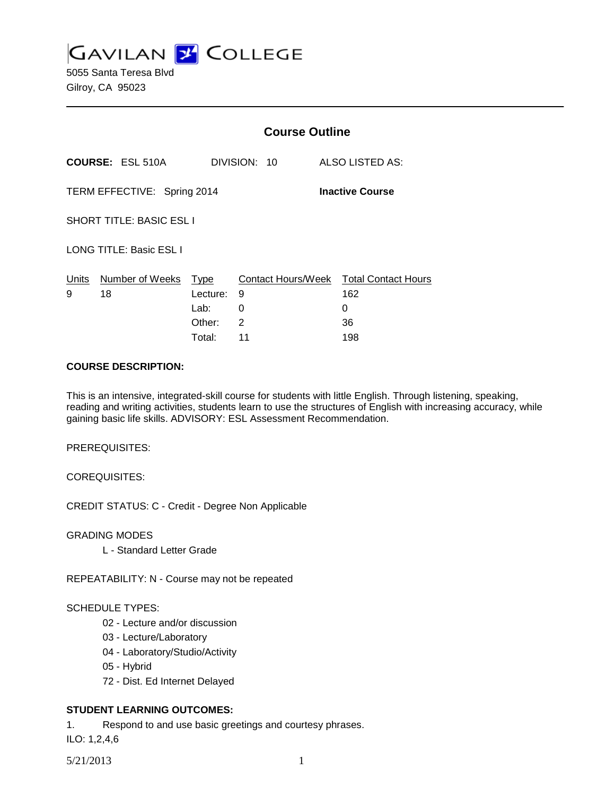**GAVILAN L'OLLEGE** 

5055 Santa Teresa Blvd Gilroy, CA 95023

|                                                       |                                | <b>Course Outline</b>                        |                   |                                                                 |
|-------------------------------------------------------|--------------------------------|----------------------------------------------|-------------------|-----------------------------------------------------------------|
| <b>COURSE: ESL 510A</b>                               |                                | DIVISION: 10                                 | ALSO LISTED AS:   |                                                                 |
| TERM EFFECTIVE: Spring 2014<br><b>Inactive Course</b> |                                |                                              |                   |                                                                 |
| <b>SHORT TITLE: BASIC ESL I</b>                       |                                |                                              |                   |                                                                 |
|                                                       | <b>LONG TITLE: Basic ESL I</b> |                                              |                   |                                                                 |
| <u>Units</u><br>9                                     | Number of Weeks<br>18          | Type<br>Lecture:<br>Lab:<br>Other:<br>Total: | 9<br>0<br>2<br>11 | Contact Hours/Week Total Contact Hours<br>162<br>0<br>36<br>198 |
|                                                       |                                |                                              |                   |                                                                 |

#### **COURSE DESCRIPTION:**

This is an intensive, integrated-skill course for students with little English. Through listening, speaking, reading and writing activities, students learn to use the structures of English with increasing accuracy, while gaining basic life skills. ADVISORY: ESL Assessment Recommendation.

PREREQUISITES:

COREQUISITES:

CREDIT STATUS: C - Credit - Degree Non Applicable

GRADING MODES

L - Standard Letter Grade

REPEATABILITY: N - Course may not be repeated

#### SCHEDULE TYPES:

- 02 Lecture and/or discussion
- 03 Lecture/Laboratory
- 04 Laboratory/Studio/Activity
- 05 Hybrid
- 72 Dist. Ed Internet Delayed

## **STUDENT LEARNING OUTCOMES:**

1. Respond to and use basic greetings and courtesy phrases.

ILO: 1,2,4,6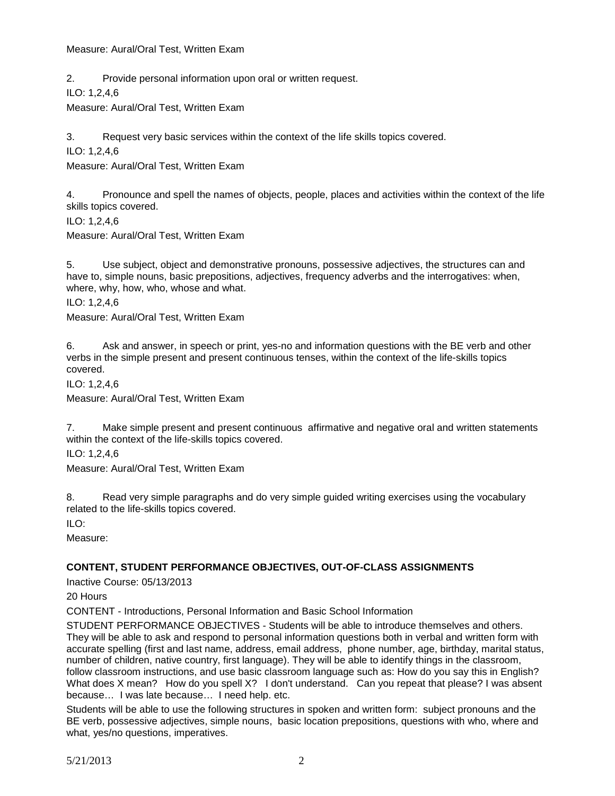Measure: Aural/Oral Test, Written Exam

2. Provide personal information upon oral or written request.

ILO: 1,2,4,6

Measure: Aural/Oral Test, Written Exam

3. Request very basic services within the context of the life skills topics covered.

ILO: 1,2,4,6

Measure: Aural/Oral Test, Written Exam

4. Pronounce and spell the names of objects, people, places and activities within the context of the life skills topics covered.

ILO: 1,2,4,6

Measure: Aural/Oral Test, Written Exam

5. Use subject, object and demonstrative pronouns, possessive adjectives, the structures can and have to, simple nouns, basic prepositions, adjectives, frequency adverbs and the interrogatives: when, where, why, how, who, whose and what.

ILO: 1,2,4,6

Measure: Aural/Oral Test, Written Exam

6. Ask and answer, in speech or print, yes-no and information questions with the BE verb and other verbs in the simple present and present continuous tenses, within the context of the life-skills topics covered.

ILO: 1,2,4,6

Measure: Aural/Oral Test, Written Exam

7. Make simple present and present continuous affirmative and negative oral and written statements within the context of the life-skills topics covered.

ILO: 1,2,4,6

Measure: Aural/Oral Test, Written Exam

8. Read very simple paragraphs and do very simple guided writing exercises using the vocabulary related to the life-skills topics covered.

 $II$  O:

Measure:

### **CONTENT, STUDENT PERFORMANCE OBJECTIVES, OUT-OF-CLASS ASSIGNMENTS**

Inactive Course: 05/13/2013

20 Hours

CONTENT - Introductions, Personal Information and Basic School Information

STUDENT PERFORMANCE OBJECTIVES - Students will be able to introduce themselves and others. They will be able to ask and respond to personal information questions both in verbal and written form with accurate spelling (first and last name, address, email address, phone number, age, birthday, marital status, number of children, native country, first language). They will be able to identify things in the classroom, follow classroom instructions, and use basic classroom language such as: How do you say this in English? What does X mean? How do you spell X? I don't understand. Can you repeat that please? I was absent because… I was late because… I need help. etc.

Students will be able to use the following structures in spoken and written form: subject pronouns and the BE verb, possessive adjectives, simple nouns, basic location prepositions, questions with who, where and what, yes/no questions, imperatives.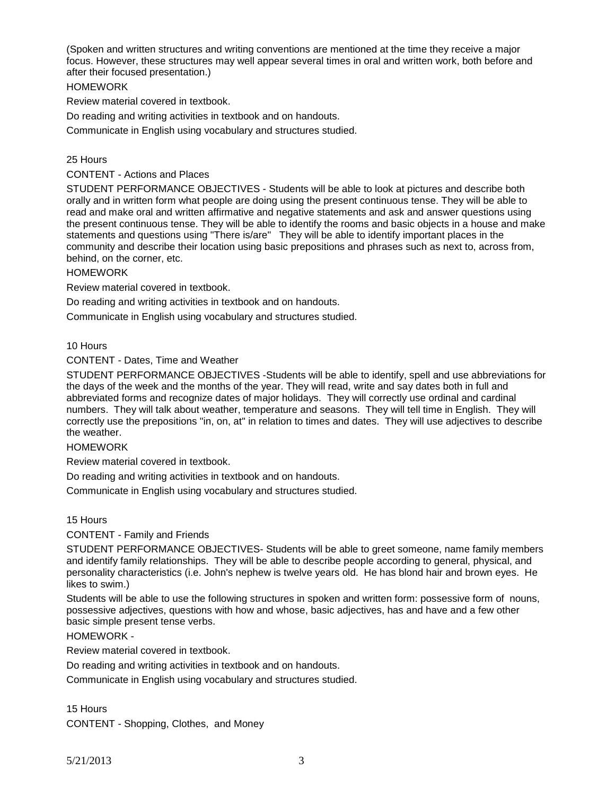(Spoken and written structures and writing conventions are mentioned at the time they receive a major focus. However, these structures may well appear several times in oral and written work, both before and after their focused presentation.)

### **HOMEWORK**

Review material covered in textbook.

Do reading and writing activities in textbook and on handouts.

Communicate in English using vocabulary and structures studied.

## 25 Hours

CONTENT - Actions and Places

STUDENT PERFORMANCE OBJECTIVES - Students will be able to look at pictures and describe both orally and in written form what people are doing using the present continuous tense. They will be able to read and make oral and written affirmative and negative statements and ask and answer questions using the present continuous tense. They will be able to identify the rooms and basic objects in a house and make statements and questions using "There is/are" They will be able to identify important places in the community and describe their location using basic prepositions and phrases such as next to, across from, behind, on the corner, etc.

### **HOMEWORK**

Review material covered in textbook.

Do reading and writing activities in textbook and on handouts.

Communicate in English using vocabulary and structures studied.

### 10 Hours

CONTENT - Dates, Time and Weather

STUDENT PERFORMANCE OBJECTIVES -Students will be able to identify, spell and use abbreviations for the days of the week and the months of the year. They will read, write and say dates both in full and abbreviated forms and recognize dates of major holidays. They will correctly use ordinal and cardinal numbers. They will talk about weather, temperature and seasons. They will tell time in English. They will correctly use the prepositions "in, on, at" in relation to times and dates. They will use adjectives to describe the weather.

## HOMEWORK

Review material covered in textbook.

Do reading and writing activities in textbook and on handouts.

Communicate in English using vocabulary and structures studied.

### 15 Hours

CONTENT - Family and Friends

STUDENT PERFORMANCE OBJECTIVES- Students will be able to greet someone, name family members and identify family relationships. They will be able to describe people according to general, physical, and personality characteristics (i.e. John's nephew is twelve years old. He has blond hair and brown eyes. He likes to swim.)

Students will be able to use the following structures in spoken and written form: possessive form of nouns, possessive adjectives, questions with how and whose, basic adjectives, has and have and a few other basic simple present tense verbs.

### HOMEWORK -

Review material covered in textbook.

Do reading and writing activities in textbook and on handouts.

Communicate in English using vocabulary and structures studied.

### 15 Hours

CONTENT - Shopping, Clothes, and Money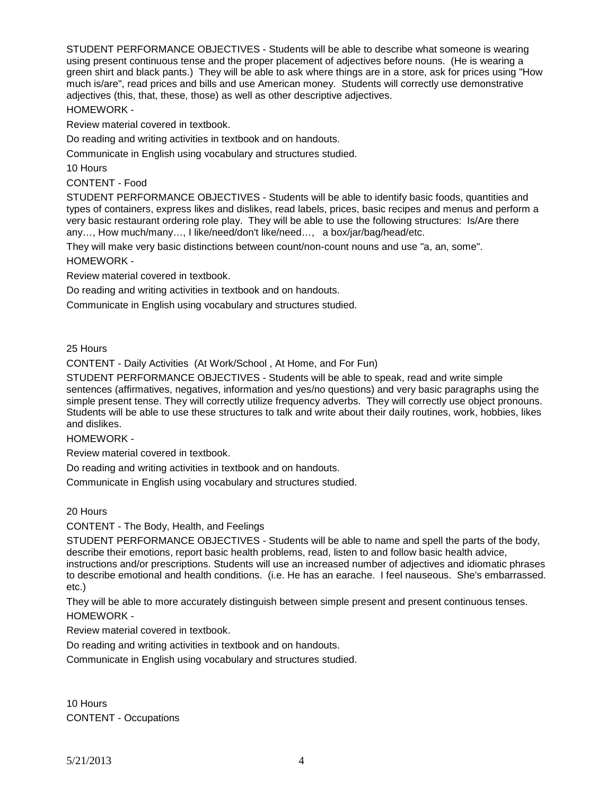STUDENT PERFORMANCE OBJECTIVES - Students will be able to describe what someone is wearing using present continuous tense and the proper placement of adjectives before nouns. (He is wearing a green shirt and black pants.) They will be able to ask where things are in a store, ask for prices using "How much is/are", read prices and bills and use American money. Students will correctly use demonstrative adjectives (this, that, these, those) as well as other descriptive adjectives.

#### HOMEWORK -

Review material covered in textbook.

Do reading and writing activities in textbook and on handouts.

Communicate in English using vocabulary and structures studied.

10 Hours

CONTENT - Food

STUDENT PERFORMANCE OBJECTIVES - Students will be able to identify basic foods, quantities and types of containers, express likes and dislikes, read labels, prices, basic recipes and menus and perform a very basic restaurant ordering role play. They will be able to use the following structures: Is/Are there any…, How much/many…, I like/need/don't like/need…, a box/jar/bag/head/etc.

They will make very basic distinctions between count/non-count nouns and use "a, an, some". HOMEWORK -

Review material covered in textbook.

Do reading and writing activities in textbook and on handouts.

Communicate in English using vocabulary and structures studied.

25 Hours

CONTENT - Daily Activities (At Work/School , At Home, and For Fun)

STUDENT PERFORMANCE OBJECTIVES - Students will be able to speak, read and write simple sentences (affirmatives, negatives, information and yes/no questions) and very basic paragraphs using the simple present tense. They will correctly utilize frequency adverbs. They will correctly use object pronouns. Students will be able to use these structures to talk and write about their daily routines, work, hobbies, likes and dislikes.

HOMEWORK -

Review material covered in textbook.

Do reading and writing activities in textbook and on handouts.

Communicate in English using vocabulary and structures studied.

20 Hours

CONTENT - The Body, Health, and Feelings

STUDENT PERFORMANCE OBJECTIVES - Students will be able to name and spell the parts of the body, describe their emotions, report basic health problems, read, listen to and follow basic health advice, instructions and/or prescriptions. Students will use an increased number of adjectives and idiomatic phrases to describe emotional and health conditions. (i.e. He has an earache. I feel nauseous. She's embarrassed. etc.)

They will be able to more accurately distinguish between simple present and present continuous tenses. HOMEWORK -

Review material covered in textbook.

Do reading and writing activities in textbook and on handouts.

Communicate in English using vocabulary and structures studied.

10 Hours CONTENT - Occupations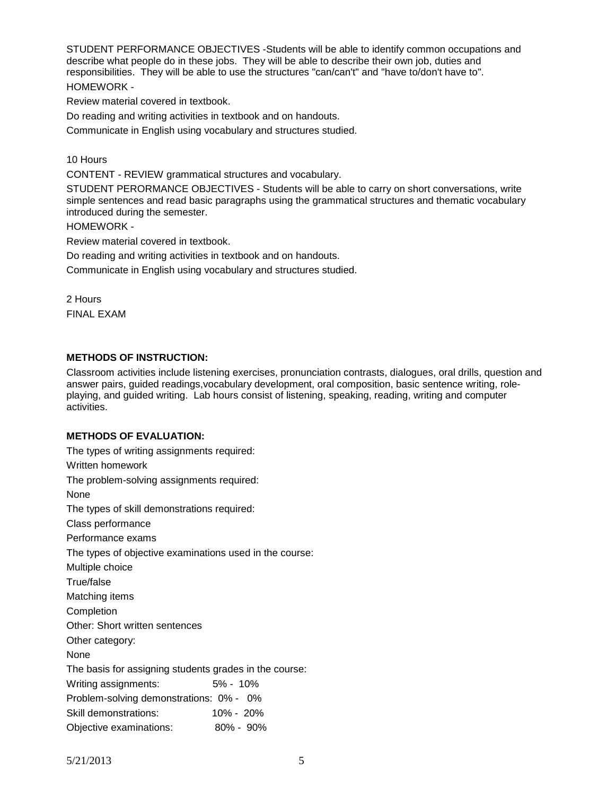STUDENT PERFORMANCE OBJECTIVES -Students will be able to identify common occupations and describe what people do in these jobs. They will be able to describe their own job, duties and responsibilities. They will be able to use the structures "can/can't" and "have to/don't have to". HOMEWORK -

Review material covered in textbook.

Do reading and writing activities in textbook and on handouts.

Communicate in English using vocabulary and structures studied.

10 Hours

CONTENT - REVIEW grammatical structures and vocabulary.

STUDENT PERORMANCE OBJECTIVES - Students will be able to carry on short conversations, write simple sentences and read basic paragraphs using the grammatical structures and thematic vocabulary introduced during the semester.

HOMEWORK -

Review material covered in textbook.

Do reading and writing activities in textbook and on handouts.

Communicate in English using vocabulary and structures studied.

2 Hours FINAL EXAM

#### **METHODS OF INSTRUCTION:**

Classroom activities include listening exercises, pronunciation contrasts, dialogues, oral drills, question and answer pairs, guided readings,vocabulary development, oral composition, basic sentence writing, roleplaying, and guided writing. Lab hours consist of listening, speaking, reading, writing and computer activities.

#### **METHODS OF EVALUATION:**

The types of writing assignments required: Written homework The problem-solving assignments required: None The types of skill demonstrations required: Class performance Performance exams The types of objective examinations used in the course: Multiple choice True/false Matching items Completion Other: Short written sentences Other category: None The basis for assigning students grades in the course: Writing assignments: 5% - 10% Problem-solving demonstrations: 0% - 0% Skill demonstrations: 10% - 20% Objective examinations: 80% - 90%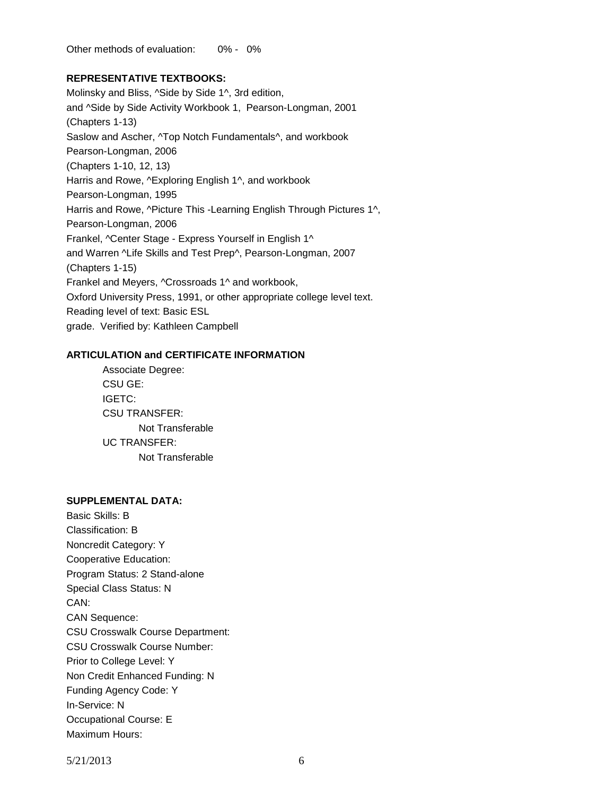Other methods of evaluation: 0% - 0%

### **REPRESENTATIVE TEXTBOOKS:**

Molinsky and Bliss, ^Side by Side 1^, 3rd edition, and ^Side by Side Activity Workbook 1, Pearson-Longman, 2001 (Chapters 1-13) Saslow and Ascher, ^Top Notch Fundamentals^, and workbook Pearson-Longman, 2006 (Chapters 1-10, 12, 13) Harris and Rowe, ^Exploring English 1^, and workbook Pearson-Longman, 1995 Harris and Rowe, ^Picture This -Learning English Through Pictures 1^, Pearson-Longman, 2006 Frankel, ^Center Stage - Express Yourself in English 1^ and Warren ^Life Skills and Test Prep^, Pearson-Longman, 2007 (Chapters 1-15) Frankel and Meyers, ^Crossroads 1^ and workbook, Oxford University Press, 1991, or other appropriate college level text. Reading level of text: Basic ESL grade. Verified by: Kathleen Campbell

#### **ARTICULATION and CERTIFICATE INFORMATION**

Associate Degree: CSU GE: IGETC: CSU TRANSFER: Not Transferable UC TRANSFER: Not Transferable

# **SUPPLEMENTAL DATA:**

Basic Skills: B Classification: B Noncredit Category: Y Cooperative Education: Program Status: 2 Stand-alone Special Class Status: N CAN: CAN Sequence: CSU Crosswalk Course Department: CSU Crosswalk Course Number: Prior to College Level: Y Non Credit Enhanced Funding: N Funding Agency Code: Y In-Service: N Occupational Course: E Maximum Hours: